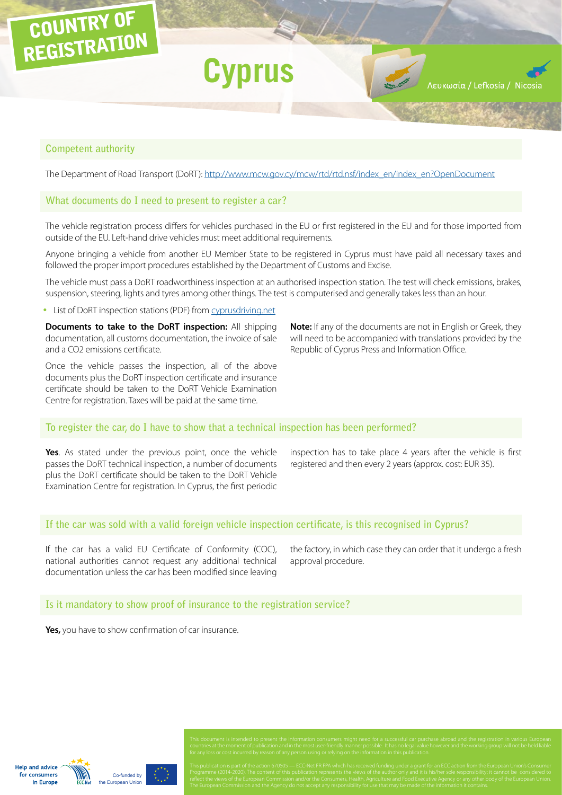# **Competent authority**

COUNTRY OF

REGISTRATION

The Department of Road Transport (DoRT): [http://www.mcw.gov.cy/mcw/rtd/rtd.nsf/index\\_en/index\\_en?OpenDocument](http://www.mcw.gov.cy/mcw/rtd/rtd.nsf/index_en/index_en?OpenDocument)

**Cyprus**

### **What documents do I need to present to register a car?**

The vehicle registration process differs for vehicles purchased in the EU or first registered in the EU and for those imported from outside of the EU. Left-hand drive vehicles must meet additional requirements.

Anyone bringing a vehicle from another EU Member State to be registered in Cyprus must have paid all necessary taxes and followed the proper import procedures established by the Department of Customs and Excise.

The vehicle must pass a DoRT roadworthiness inspection at an authorised inspection station. The test will check emissions, brakes, suspension, steering, lights and tyres among other things. The test is computerised and generally takes less than an hour.

• List of DoRT inspection stations (PDF) from [cyprusdriving.net](http://cyprusdriving.net/)

**Documents to take to the DoRT inspection:** All shipping documentation, all customs documentation, the invoice of sale and a CO2 emissions certificate.

Once the vehicle passes the inspection, all of the above documents plus the DoRT inspection certificate and insurance certificate should be taken to the DoRT Vehicle Examination Centre for registration. Taxes will be paid at the same time.

**Note:** If any of the documents are not in English or Greek, they will need to be accompanied with translations provided by the Republic of Cyprus Press and Information Office.

Λευκωσία / Lefkosía / Nico

**To register the car, do I have to show that a technical inspection has been performed?**

**Yes**. As stated under the previous point, once the vehicle passes the DoRT technical inspection, a number of documents plus the DoRT certificate should be taken to the DoRT Vehicle Examination Centre for registration. In Cyprus, the first periodic inspection has to take place 4 years after the vehicle is first registered and then every 2 years (approx. cost: EUR 35).

### **If the car was sold with a valid foreign vehicle inspection certificate, is this recognised in Cyprus?**

If the car has a valid EU Certificate of Conformity (COC), national authorities cannot request any additional technical documentation unless the car has been modified since leaving

the factory, in which case they can order that it undergo a fresh approval procedure.

### **Is it mandatory to show proof of insurance to the registration service?**

**Yes,** you have to show confirmation of car insurance.

**Help and advice** for consumers in Europe